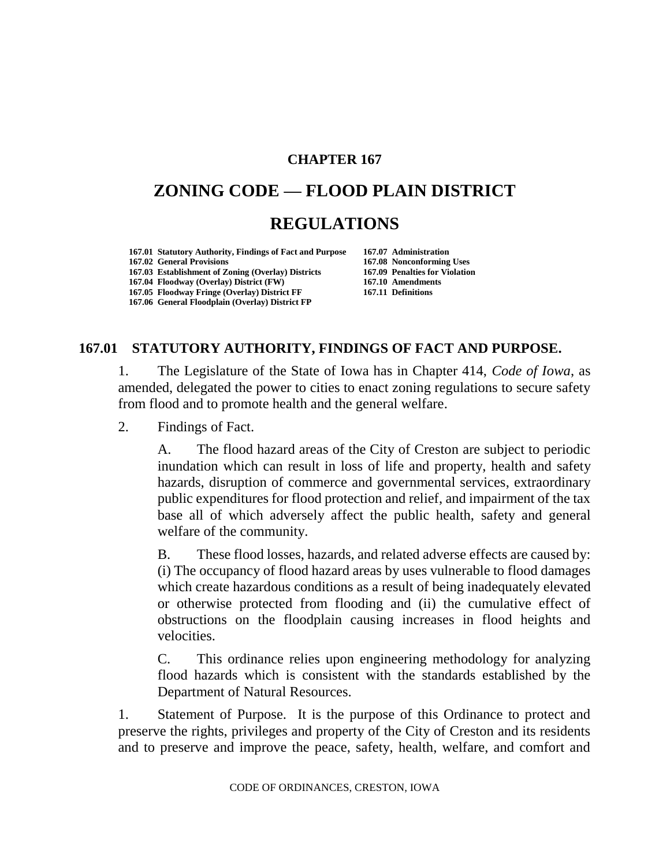### **CHAPTER 167**

# **ZONING CODE — FLOOD PLAIN DISTRICT REGULATIONS**

**167.01 Statutory Authority, Findings of Fact and Purpose 167.07 Administration 167.02 General Provisions 167.08 Nonconforming Uses 167.03 Establishment of Zoning (Overlay) Districts 167.04 Floodway (Overlay) District (FW) 167.10 Amendments 167.05 Floodway Fringe (Overlay) District FF 167.11 Definitions 167.06 General Floodplain (Overlay) District FP**

## **167.01 STATUTORY AUTHORITY, FINDINGS OF FACT AND PURPOSE.**

1. The Legislature of the State of Iowa has in Chapter 414, *Code of Iowa*, as amended, delegated the power to cities to enact zoning regulations to secure safety from flood and to promote health and the general welfare.

2. Findings of Fact.

A. The flood hazard areas of the City of Creston are subject to periodic inundation which can result in loss of life and property, health and safety hazards, disruption of commerce and governmental services, extraordinary public expenditures for flood protection and relief, and impairment of the tax base all of which adversely affect the public health, safety and general welfare of the community.

B. These flood losses, hazards, and related adverse effects are caused by: (i) The occupancy of flood hazard areas by uses vulnerable to flood damages which create hazardous conditions as a result of being inadequately elevated or otherwise protected from flooding and (ii) the cumulative effect of obstructions on the floodplain causing increases in flood heights and velocities.

C. This ordinance relies upon engineering methodology for analyzing flood hazards which is consistent with the standards established by the Department of Natural Resources.

1. Statement of Purpose. It is the purpose of this Ordinance to protect and preserve the rights, privileges and property of the City of Creston and its residents and to preserve and improve the peace, safety, health, welfare, and comfort and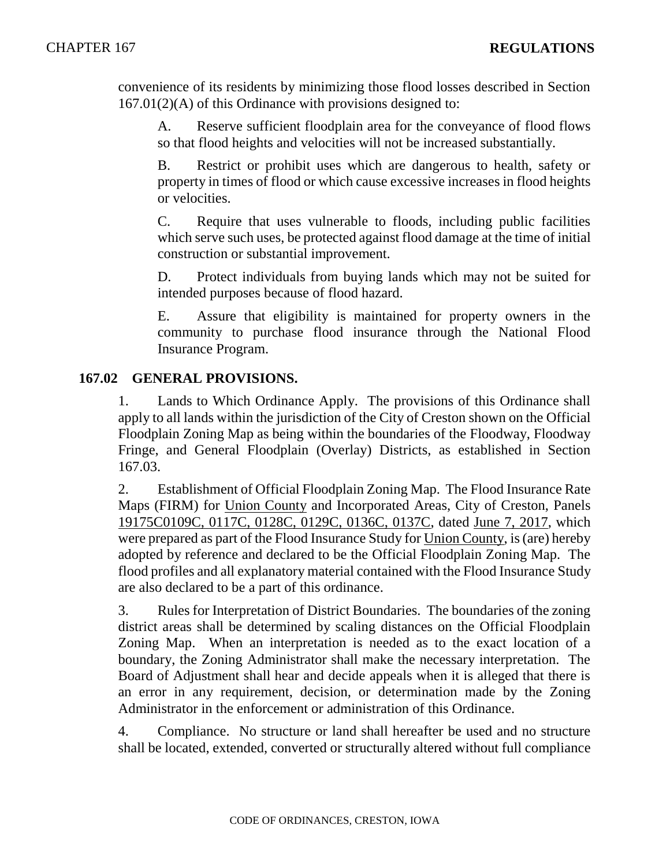convenience of its residents by minimizing those flood losses described in Section 167.01(2)(A) of this Ordinance with provisions designed to:

A. Reserve sufficient floodplain area for the conveyance of flood flows so that flood heights and velocities will not be increased substantially.

B. Restrict or prohibit uses which are dangerous to health, safety or property in times of flood or which cause excessive increases in flood heights or velocities.

C. Require that uses vulnerable to floods, including public facilities which serve such uses, be protected against flood damage at the time of initial construction or substantial improvement.

D. Protect individuals from buying lands which may not be suited for intended purposes because of flood hazard.

E. Assure that eligibility is maintained for property owners in the community to purchase flood insurance through the National Flood Insurance Program.

## **167.02 GENERAL PROVISIONS.**

1. Lands to Which Ordinance Apply. The provisions of this Ordinance shall apply to all lands within the jurisdiction of the City of Creston shown on the Official Floodplain Zoning Map as being within the boundaries of the Floodway, Floodway Fringe, and General Floodplain (Overlay) Districts, as established in Section 167.03.

2. Establishment of Official Floodplain Zoning Map. The Flood Insurance Rate Maps (FIRM) for Union County and Incorporated Areas, City of Creston, Panels 19175C0109C, 0117C, 0128C, 0129C, 0136C, 0137C, dated June 7, 2017, which were prepared as part of the Flood Insurance Study for Union County, is (are) hereby adopted by reference and declared to be the Official Floodplain Zoning Map. The flood profiles and all explanatory material contained with the Flood Insurance Study are also declared to be a part of this ordinance.

3. Rules for Interpretation of District Boundaries. The boundaries of the zoning district areas shall be determined by scaling distances on the Official Floodplain Zoning Map. When an interpretation is needed as to the exact location of a boundary, the Zoning Administrator shall make the necessary interpretation. The Board of Adjustment shall hear and decide appeals when it is alleged that there is an error in any requirement, decision, or determination made by the Zoning Administrator in the enforcement or administration of this Ordinance.

4. Compliance. No structure or land shall hereafter be used and no structure shall be located, extended, converted or structurally altered without full compliance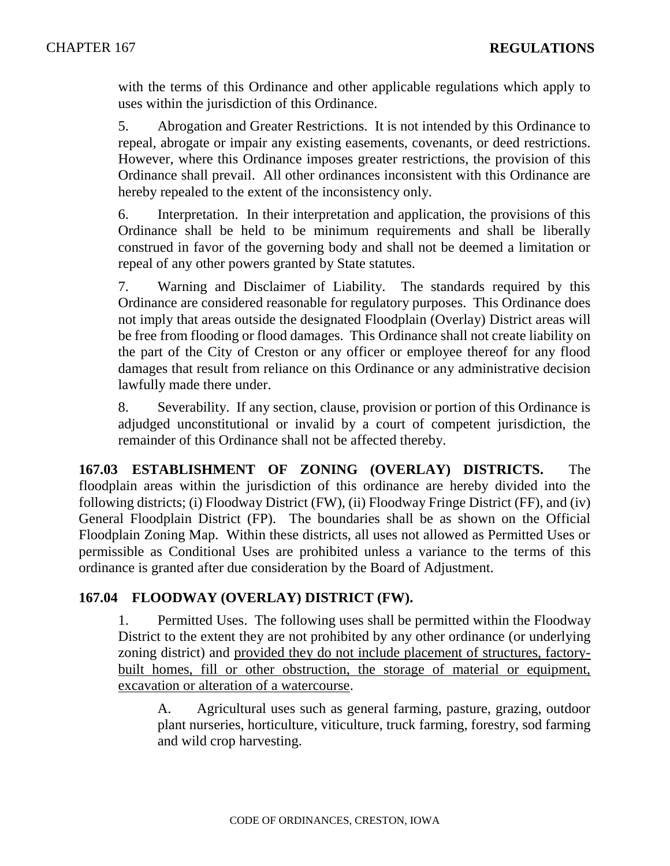with the terms of this Ordinance and other applicable regulations which apply to uses within the jurisdiction of this Ordinance.

5. Abrogation and Greater Restrictions. It is not intended by this Ordinance to repeal, abrogate or impair any existing easements, covenants, or deed restrictions. However, where this Ordinance imposes greater restrictions, the provision of this Ordinance shall prevail. All other ordinances inconsistent with this Ordinance are hereby repealed to the extent of the inconsistency only.

6. Interpretation. In their interpretation and application, the provisions of this Ordinance shall be held to be minimum requirements and shall be liberally construed in favor of the governing body and shall not be deemed a limitation or repeal of any other powers granted by State statutes.

7. Warning and Disclaimer of Liability. The standards required by this Ordinance are considered reasonable for regulatory purposes. This Ordinance does not imply that areas outside the designated Floodplain (Overlay) District areas will be free from flooding or flood damages. This Ordinance shall not create liability on the part of the City of Creston or any officer or employee thereof for any flood damages that result from reliance on this Ordinance or any administrative decision lawfully made there under.

8. Severability. If any section, clause, provision or portion of this Ordinance is adjudged unconstitutional or invalid by a court of competent jurisdiction, the remainder of this Ordinance shall not be affected thereby.

**167.03 ESTABLISHMENT OF ZONING (OVERLAY) DISTRICTS.** The floodplain areas within the jurisdiction of this ordinance are hereby divided into the following districts; (i) Floodway District (FW), (ii) Floodway Fringe District (FF), and (iv) General Floodplain District (FP). The boundaries shall be as shown on the Official Floodplain Zoning Map. Within these districts, all uses not allowed as Permitted Uses or permissible as Conditional Uses are prohibited unless a variance to the terms of this ordinance is granted after due consideration by the Board of Adjustment.

## **167.04 FLOODWAY (OVERLAY) DISTRICT (FW).**

1. Permitted Uses. The following uses shall be permitted within the Floodway District to the extent they are not prohibited by any other ordinance (or underlying zoning district) and provided they do not include placement of structures, factorybuilt homes, fill or other obstruction, the storage of material or equipment, excavation or alteration of a watercourse.

A. Agricultural uses such as general farming, pasture, grazing, outdoor plant nurseries, horticulture, viticulture, truck farming, forestry, sod farming and wild crop harvesting.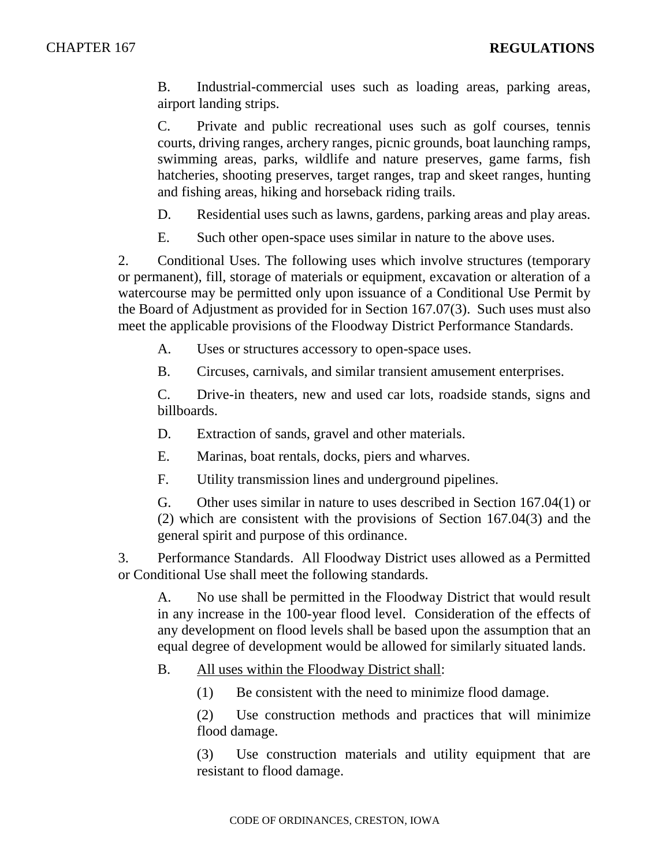B. Industrial-commercial uses such as loading areas, parking areas, airport landing strips.

C. Private and public recreational uses such as golf courses, tennis courts, driving ranges, archery ranges, picnic grounds, boat launching ramps, swimming areas, parks, wildlife and nature preserves, game farms, fish hatcheries, shooting preserves, target ranges, trap and skeet ranges, hunting and fishing areas, hiking and horseback riding trails.

- D. Residential uses such as lawns, gardens, parking areas and play areas.
- E. Such other open-space uses similar in nature to the above uses.

2. Conditional Uses. The following uses which involve structures (temporary or permanent), fill, storage of materials or equipment, excavation or alteration of a watercourse may be permitted only upon issuance of a Conditional Use Permit by the Board of Adjustment as provided for in Section 167.07(3). Such uses must also meet the applicable provisions of the Floodway District Performance Standards.

A. Uses or structures accessory to open-space uses.

B. Circuses, carnivals, and similar transient amusement enterprises.

C. Drive-in theaters, new and used car lots, roadside stands, signs and billboards.

D. Extraction of sands, gravel and other materials.

E. Marinas, boat rentals, docks, piers and wharves.

F. Utility transmission lines and underground pipelines.

G. Other uses similar in nature to uses described in Section 167.04(1) or (2) which are consistent with the provisions of Section 167.04(3) and the general spirit and purpose of this ordinance.

3. Performance Standards. All Floodway District uses allowed as a Permitted or Conditional Use shall meet the following standards.

A. No use shall be permitted in the Floodway District that would result in any increase in the 100-year flood level. Consideration of the effects of any development on flood levels shall be based upon the assumption that an equal degree of development would be allowed for similarly situated lands.

B. All uses within the Floodway District shall:

(1) Be consistent with the need to minimize flood damage.

(2) Use construction methods and practices that will minimize flood damage.

(3) Use construction materials and utility equipment that are resistant to flood damage.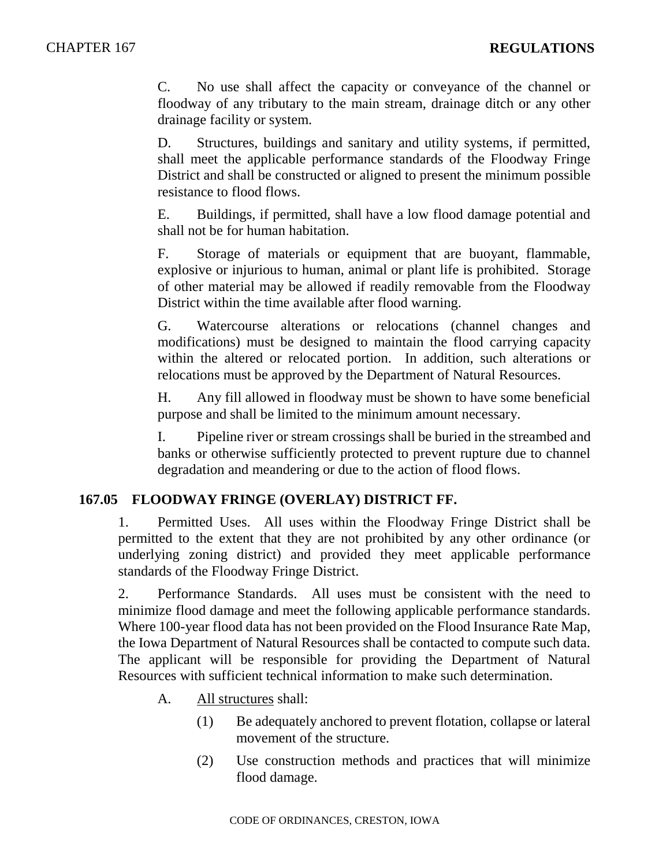C. No use shall affect the capacity or conveyance of the channel or floodway of any tributary to the main stream, drainage ditch or any other drainage facility or system.

D. Structures, buildings and sanitary and utility systems, if permitted, shall meet the applicable performance standards of the Floodway Fringe District and shall be constructed or aligned to present the minimum possible resistance to flood flows.

E. Buildings, if permitted, shall have a low flood damage potential and shall not be for human habitation.

F. Storage of materials or equipment that are buoyant, flammable, explosive or injurious to human, animal or plant life is prohibited. Storage of other material may be allowed if readily removable from the Floodway District within the time available after flood warning.

G. Watercourse alterations or relocations (channel changes and modifications) must be designed to maintain the flood carrying capacity within the altered or relocated portion. In addition, such alterations or relocations must be approved by the Department of Natural Resources.

H. Any fill allowed in floodway must be shown to have some beneficial purpose and shall be limited to the minimum amount necessary.

I. Pipeline river or stream crossings shall be buried in the streambed and banks or otherwise sufficiently protected to prevent rupture due to channel degradation and meandering or due to the action of flood flows.

## **167.05 FLOODWAY FRINGE (OVERLAY) DISTRICT FF.**

1. Permitted Uses. All uses within the Floodway Fringe District shall be permitted to the extent that they are not prohibited by any other ordinance (or underlying zoning district) and provided they meet applicable performance standards of the Floodway Fringe District.

2. Performance Standards. All uses must be consistent with the need to minimize flood damage and meet the following applicable performance standards. Where 100-year flood data has not been provided on the Flood Insurance Rate Map, the Iowa Department of Natural Resources shall be contacted to compute such data. The applicant will be responsible for providing the Department of Natural Resources with sufficient technical information to make such determination.

- A. All structures shall:
	- (1) Be adequately anchored to prevent flotation, collapse or lateral movement of the structure.
	- (2) Use construction methods and practices that will minimize flood damage.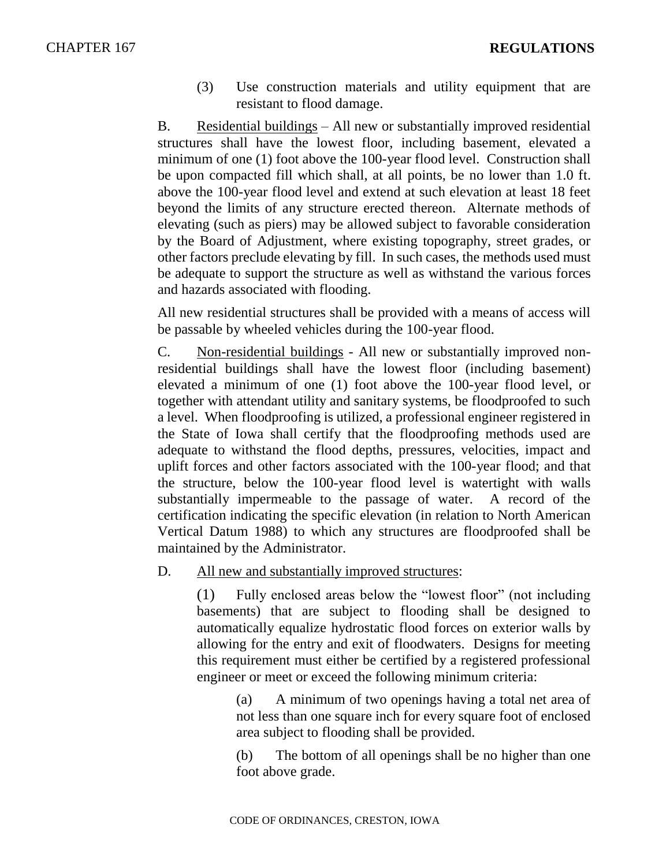(3) Use construction materials and utility equipment that are resistant to flood damage.

B. Residential buildings – All new or substantially improved residential structures shall have the lowest floor, including basement, elevated a minimum of one (1) foot above the 100-year flood level. Construction shall be upon compacted fill which shall, at all points, be no lower than 1.0 ft. above the 100-year flood level and extend at such elevation at least 18 feet beyond the limits of any structure erected thereon. Alternate methods of elevating (such as piers) may be allowed subject to favorable consideration by the Board of Adjustment, where existing topography, street grades, or other factors preclude elevating by fill. In such cases, the methods used must be adequate to support the structure as well as withstand the various forces and hazards associated with flooding.

All new residential structures shall be provided with a means of access will be passable by wheeled vehicles during the 100-year flood.

C. Non-residential buildings - All new or substantially improved nonresidential buildings shall have the lowest floor (including basement) elevated a minimum of one (1) foot above the 100-year flood level, or together with attendant utility and sanitary systems, be floodproofed to such a level. When floodproofing is utilized, a professional engineer registered in the State of Iowa shall certify that the floodproofing methods used are adequate to withstand the flood depths, pressures, velocities, impact and uplift forces and other factors associated with the 100-year flood; and that the structure, below the 100-year flood level is watertight with walls substantially impermeable to the passage of water. A record of the certification indicating the specific elevation (in relation to North American Vertical Datum 1988) to which any structures are floodproofed shall be maintained by the Administrator.

D. All new and substantially improved structures:

(1) Fully enclosed areas below the "lowest floor" (not including basements) that are subject to flooding shall be designed to automatically equalize hydrostatic flood forces on exterior walls by allowing for the entry and exit of floodwaters. Designs for meeting this requirement must either be certified by a registered professional engineer or meet or exceed the following minimum criteria:

(a) A minimum of two openings having a total net area of not less than one square inch for every square foot of enclosed area subject to flooding shall be provided.

(b) The bottom of all openings shall be no higher than one foot above grade.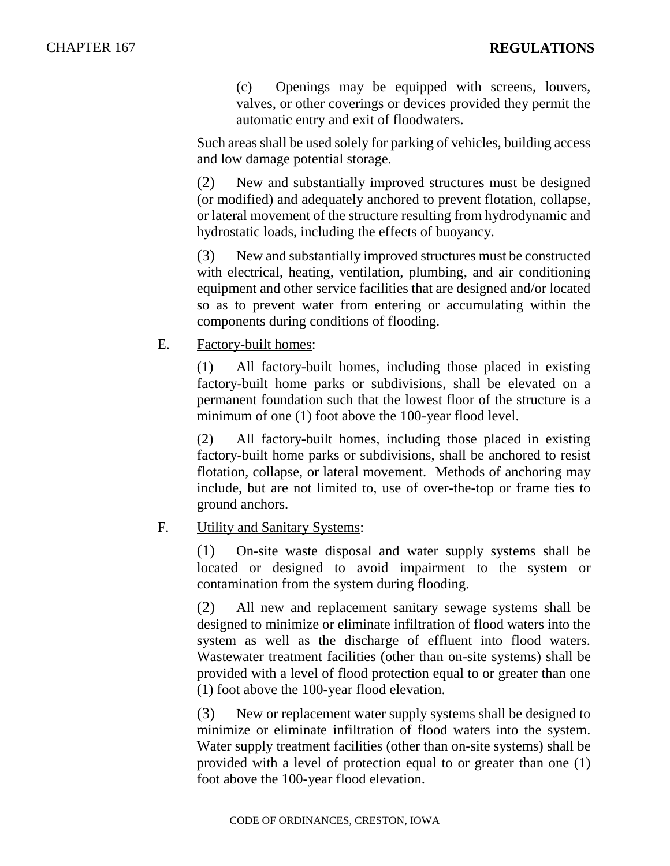(c) Openings may be equipped with screens, louvers, valves, or other coverings or devices provided they permit the automatic entry and exit of floodwaters.

Such areas shall be used solely for parking of vehicles, building access and low damage potential storage.

(2) New and substantially improved structures must be designed (or modified) and adequately anchored to prevent flotation, collapse, or lateral movement of the structure resulting from hydrodynamic and hydrostatic loads, including the effects of buoyancy.

(3) New and substantially improved structures must be constructed with electrical, heating, ventilation, plumbing, and air conditioning equipment and other service facilities that are designed and/or located so as to prevent water from entering or accumulating within the components during conditions of flooding.

E. Factory-built homes:

(1) All factory-built homes, including those placed in existing factory-built home parks or subdivisions, shall be elevated on a permanent foundation such that the lowest floor of the structure is a minimum of one (1) foot above the 100-year flood level.

(2) All factory-built homes, including those placed in existing factory-built home parks or subdivisions, shall be anchored to resist flotation, collapse, or lateral movement. Methods of anchoring may include, but are not limited to, use of over-the-top or frame ties to ground anchors.

## F. Utility and Sanitary Systems:

(1) On-site waste disposal and water supply systems shall be located or designed to avoid impairment to the system or contamination from the system during flooding.

(2) All new and replacement sanitary sewage systems shall be designed to minimize or eliminate infiltration of flood waters into the system as well as the discharge of effluent into flood waters. Wastewater treatment facilities (other than on-site systems) shall be provided with a level of flood protection equal to or greater than one (1) foot above the 100-year flood elevation.

(3) New or replacement water supply systems shall be designed to minimize or eliminate infiltration of flood waters into the system. Water supply treatment facilities (other than on-site systems) shall be provided with a level of protection equal to or greater than one (1) foot above the 100-year flood elevation.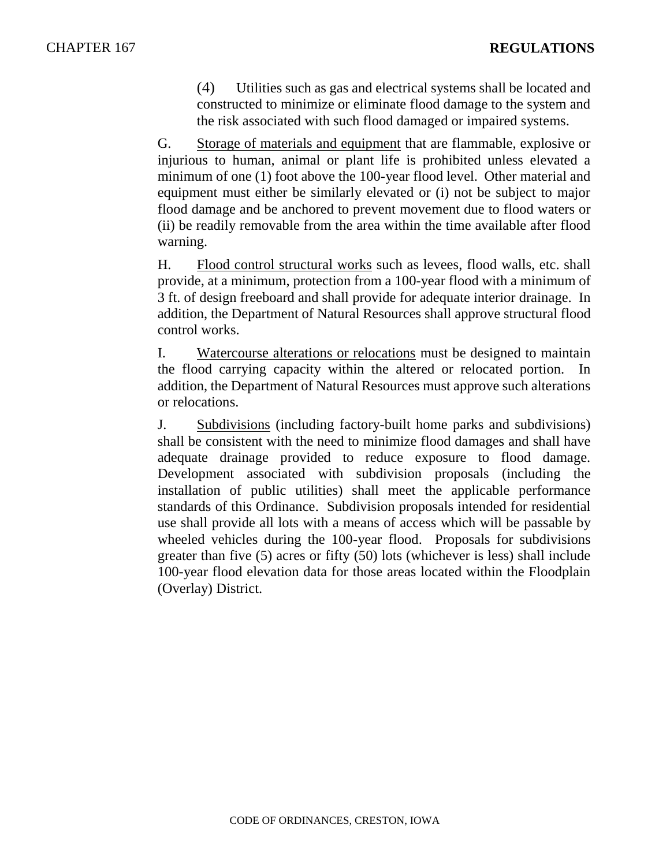(4) Utilities such as gas and electrical systems shall be located and constructed to minimize or eliminate flood damage to the system and the risk associated with such flood damaged or impaired systems.

G. Storage of materials and equipment that are flammable, explosive or injurious to human, animal or plant life is prohibited unless elevated a minimum of one (1) foot above the 100-year flood level. Other material and equipment must either be similarly elevated or (i) not be subject to major flood damage and be anchored to prevent movement due to flood waters or (ii) be readily removable from the area within the time available after flood warning.

H. Flood control structural works such as levees, flood walls, etc. shall provide, at a minimum, protection from a 100-year flood with a minimum of 3 ft. of design freeboard and shall provide for adequate interior drainage. In addition, the Department of Natural Resources shall approve structural flood control works.

I. Watercourse alterations or relocations must be designed to maintain the flood carrying capacity within the altered or relocated portion. In addition, the Department of Natural Resources must approve such alterations or relocations.

J. Subdivisions (including factory-built home parks and subdivisions) shall be consistent with the need to minimize flood damages and shall have adequate drainage provided to reduce exposure to flood damage. Development associated with subdivision proposals (including the installation of public utilities) shall meet the applicable performance standards of this Ordinance. Subdivision proposals intended for residential use shall provide all lots with a means of access which will be passable by wheeled vehicles during the 100-year flood. Proposals for subdivisions greater than five (5) acres or fifty (50) lots (whichever is less) shall include 100-year flood elevation data for those areas located within the Floodplain (Overlay) District.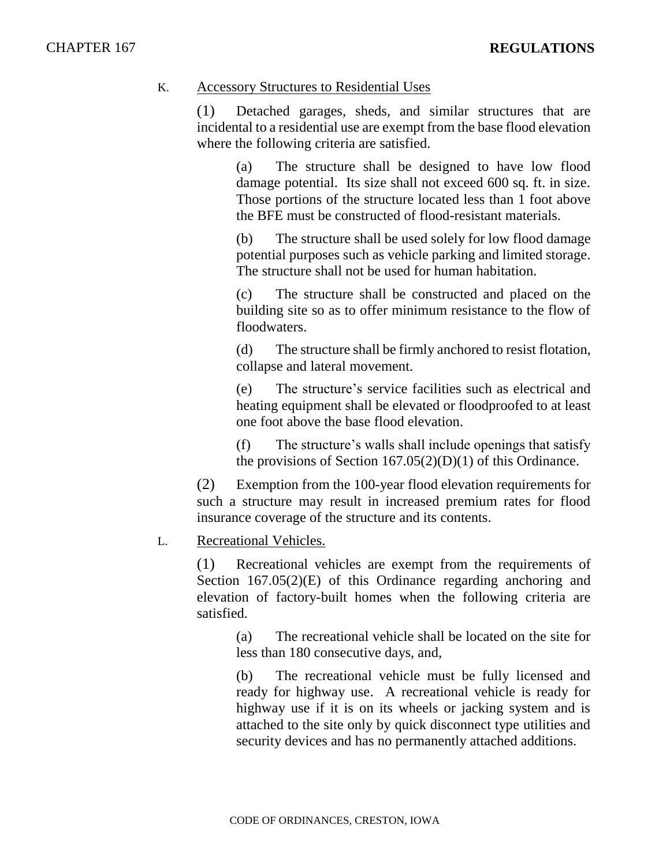#### K. Accessory Structures to Residential Uses

(1) Detached garages, sheds, and similar structures that are incidental to a residential use are exempt from the base flood elevation where the following criteria are satisfied.

(a) The structure shall be designed to have low flood damage potential. Its size shall not exceed 600 sq. ft. in size. Those portions of the structure located less than 1 foot above the BFE must be constructed of flood-resistant materials.

(b) The structure shall be used solely for low flood damage potential purposes such as vehicle parking and limited storage. The structure shall not be used for human habitation.

(c) The structure shall be constructed and placed on the building site so as to offer minimum resistance to the flow of floodwaters.

(d) The structure shall be firmly anchored to resist flotation, collapse and lateral movement.

(e) The structure's service facilities such as electrical and heating equipment shall be elevated or floodproofed to at least one foot above the base flood elevation.

(f) The structure's walls shall include openings that satisfy the provisions of Section  $167.05(2)(D)(1)$  of this Ordinance.

(2) Exemption from the 100-year flood elevation requirements for such a structure may result in increased premium rates for flood insurance coverage of the structure and its contents.

## L. Recreational Vehicles.

(1) Recreational vehicles are exempt from the requirements of Section 167.05(2)(E) of this Ordinance regarding anchoring and elevation of factory-built homes when the following criteria are satisfied.

(a) The recreational vehicle shall be located on the site for less than 180 consecutive days, and,

(b) The recreational vehicle must be fully licensed and ready for highway use. A recreational vehicle is ready for highway use if it is on its wheels or jacking system and is attached to the site only by quick disconnect type utilities and security devices and has no permanently attached additions.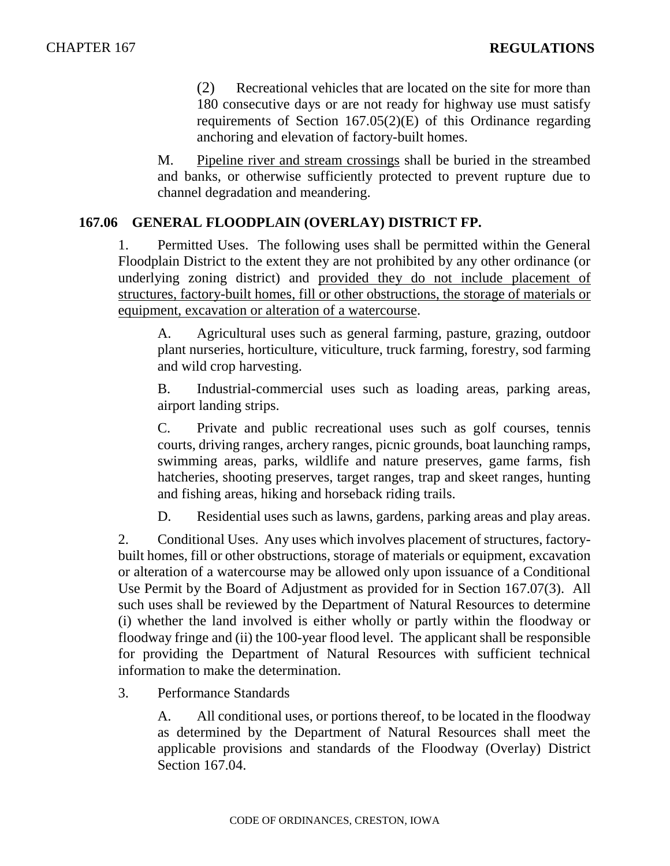(2) Recreational vehicles that are located on the site for more than 180 consecutive days or are not ready for highway use must satisfy requirements of Section 167.05(2)(E) of this Ordinance regarding anchoring and elevation of factory-built homes.

M. Pipeline river and stream crossings shall be buried in the streambed and banks, or otherwise sufficiently protected to prevent rupture due to channel degradation and meandering.

#### **167.06 GENERAL FLOODPLAIN (OVERLAY) DISTRICT FP.**

1. Permitted Uses. The following uses shall be permitted within the General Floodplain District to the extent they are not prohibited by any other ordinance (or underlying zoning district) and provided they do not include placement of structures, factory-built homes, fill or other obstructions, the storage of materials or equipment, excavation or alteration of a watercourse.

A. Agricultural uses such as general farming, pasture, grazing, outdoor plant nurseries, horticulture, viticulture, truck farming, forestry, sod farming and wild crop harvesting.

B. Industrial-commercial uses such as loading areas, parking areas, airport landing strips.

C. Private and public recreational uses such as golf courses, tennis courts, driving ranges, archery ranges, picnic grounds, boat launching ramps, swimming areas, parks, wildlife and nature preserves, game farms, fish hatcheries, shooting preserves, target ranges, trap and skeet ranges, hunting and fishing areas, hiking and horseback riding trails.

D. Residential uses such as lawns, gardens, parking areas and play areas.

2. Conditional Uses. Any uses which involves placement of structures, factorybuilt homes, fill or other obstructions, storage of materials or equipment, excavation or alteration of a watercourse may be allowed only upon issuance of a Conditional Use Permit by the Board of Adjustment as provided for in Section 167.07(3). All such uses shall be reviewed by the Department of Natural Resources to determine (i) whether the land involved is either wholly or partly within the floodway or floodway fringe and (ii) the 100-year flood level. The applicant shall be responsible for providing the Department of Natural Resources with sufficient technical information to make the determination.

3. Performance Standards

A. All conditional uses, or portions thereof, to be located in the floodway as determined by the Department of Natural Resources shall meet the applicable provisions and standards of the Floodway (Overlay) District Section 167.04.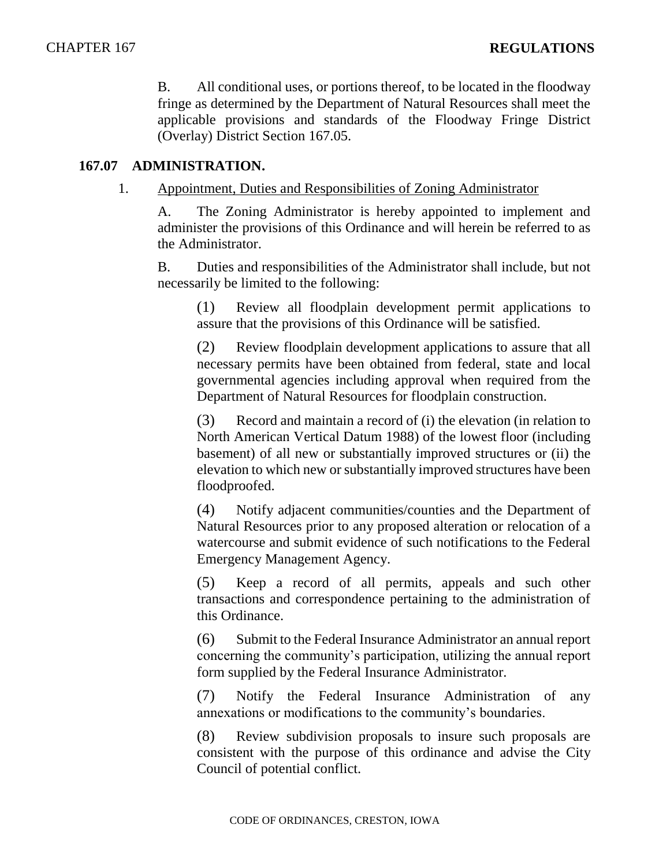B. All conditional uses, or portions thereof, to be located in the floodway fringe as determined by the Department of Natural Resources shall meet the applicable provisions and standards of the Floodway Fringe District (Overlay) District Section 167.05.

## **167.07 ADMINISTRATION.**

1. Appointment, Duties and Responsibilities of Zoning Administrator

A. The Zoning Administrator is hereby appointed to implement and administer the provisions of this Ordinance and will herein be referred to as the Administrator.

B. Duties and responsibilities of the Administrator shall include, but not necessarily be limited to the following:

(1) Review all floodplain development permit applications to assure that the provisions of this Ordinance will be satisfied.

(2) Review floodplain development applications to assure that all necessary permits have been obtained from federal, state and local governmental agencies including approval when required from the Department of Natural Resources for floodplain construction.

(3) Record and maintain a record of (i) the elevation (in relation to North American Vertical Datum 1988) of the lowest floor (including basement) of all new or substantially improved structures or (ii) the elevation to which new or substantially improved structures have been floodproofed.

(4) Notify adjacent communities/counties and the Department of Natural Resources prior to any proposed alteration or relocation of a watercourse and submit evidence of such notifications to the Federal Emergency Management Agency.

(5) Keep a record of all permits, appeals and such other transactions and correspondence pertaining to the administration of this Ordinance.

(6) Submit to the Federal Insurance Administrator an annual report concerning the community's participation, utilizing the annual report form supplied by the Federal Insurance Administrator.

(7) Notify the Federal Insurance Administration of any annexations or modifications to the community's boundaries.

(8) Review subdivision proposals to insure such proposals are consistent with the purpose of this ordinance and advise the City Council of potential conflict.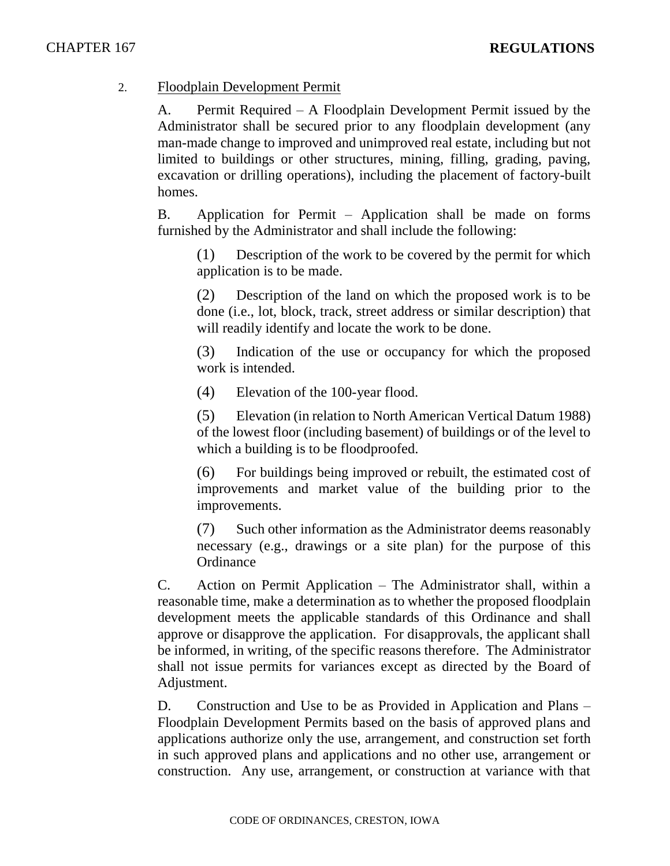## 2. Floodplain Development Permit

A. Permit Required – A Floodplain Development Permit issued by the Administrator shall be secured prior to any floodplain development (any man-made change to improved and unimproved real estate, including but not limited to buildings or other structures, mining, filling, grading, paving, excavation or drilling operations), including the placement of factory-built homes.

B. Application for Permit – Application shall be made on forms furnished by the Administrator and shall include the following:

(1) Description of the work to be covered by the permit for which application is to be made.

(2) Description of the land on which the proposed work is to be done (i.e., lot, block, track, street address or similar description) that will readily identify and locate the work to be done.

(3) Indication of the use or occupancy for which the proposed work is intended.

(4) Elevation of the 100-year flood.

(5) Elevation (in relation to North American Vertical Datum 1988) of the lowest floor (including basement) of buildings or of the level to which a building is to be floodproofed.

(6) For buildings being improved or rebuilt, the estimated cost of improvements and market value of the building prior to the improvements.

(7) Such other information as the Administrator deems reasonably necessary (e.g., drawings or a site plan) for the purpose of this **Ordinance** 

C. Action on Permit Application – The Administrator shall, within a reasonable time, make a determination as to whether the proposed floodplain development meets the applicable standards of this Ordinance and shall approve or disapprove the application. For disapprovals, the applicant shall be informed, in writing, of the specific reasons therefore. The Administrator shall not issue permits for variances except as directed by the Board of Adjustment.

D. Construction and Use to be as Provided in Application and Plans – Floodplain Development Permits based on the basis of approved plans and applications authorize only the use, arrangement, and construction set forth in such approved plans and applications and no other use, arrangement or construction. Any use, arrangement, or construction at variance with that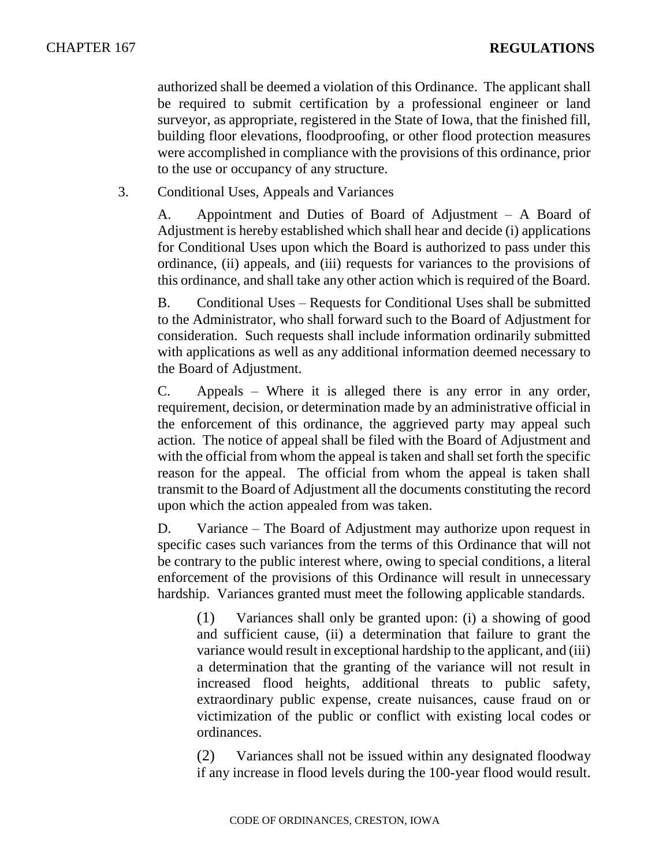authorized shall be deemed a violation of this Ordinance. The applicant shall be required to submit certification by a professional engineer or land surveyor, as appropriate, registered in the State of Iowa, that the finished fill, building floor elevations, floodproofing, or other flood protection measures were accomplished in compliance with the provisions of this ordinance, prior to the use or occupancy of any structure.

3. Conditional Uses, Appeals and Variances

A. Appointment and Duties of Board of Adjustment – A Board of Adjustment is hereby established which shall hear and decide (i) applications for Conditional Uses upon which the Board is authorized to pass under this ordinance, (ii) appeals, and (iii) requests for variances to the provisions of this ordinance, and shall take any other action which is required of the Board.

B. Conditional Uses – Requests for Conditional Uses shall be submitted to the Administrator, who shall forward such to the Board of Adjustment for consideration. Such requests shall include information ordinarily submitted with applications as well as any additional information deemed necessary to the Board of Adjustment.

C. Appeals – Where it is alleged there is any error in any order, requirement, decision, or determination made by an administrative official in the enforcement of this ordinance, the aggrieved party may appeal such action. The notice of appeal shall be filed with the Board of Adjustment and with the official from whom the appeal is taken and shall set forth the specific reason for the appeal. The official from whom the appeal is taken shall transmit to the Board of Adjustment all the documents constituting the record upon which the action appealed from was taken.

D. Variance – The Board of Adjustment may authorize upon request in specific cases such variances from the terms of this Ordinance that will not be contrary to the public interest where, owing to special conditions, a literal enforcement of the provisions of this Ordinance will result in unnecessary hardship. Variances granted must meet the following applicable standards.

(1) Variances shall only be granted upon: (i) a showing of good and sufficient cause, (ii) a determination that failure to grant the variance would result in exceptional hardship to the applicant, and (iii) a determination that the granting of the variance will not result in increased flood heights, additional threats to public safety, extraordinary public expense, create nuisances, cause fraud on or victimization of the public or conflict with existing local codes or ordinances.

(2) Variances shall not be issued within any designated floodway if any increase in flood levels during the 100-year flood would result.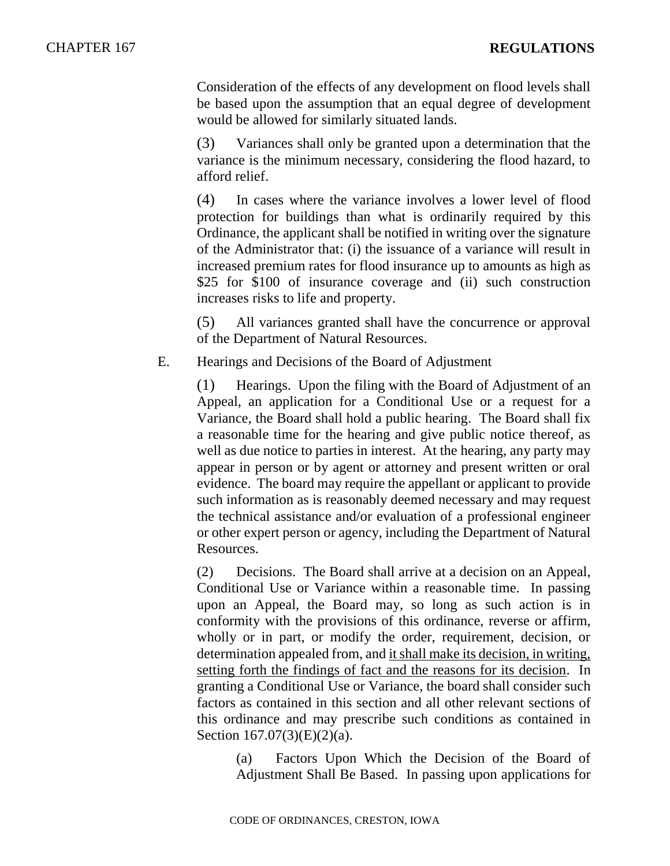Consideration of the effects of any development on flood levels shall be based upon the assumption that an equal degree of development would be allowed for similarly situated lands.

(3) Variances shall only be granted upon a determination that the variance is the minimum necessary, considering the flood hazard, to afford relief.

(4) In cases where the variance involves a lower level of flood protection for buildings than what is ordinarily required by this Ordinance, the applicant shall be notified in writing over the signature of the Administrator that: (i) the issuance of a variance will result in increased premium rates for flood insurance up to amounts as high as \$25 for \$100 of insurance coverage and (ii) such construction increases risks to life and property.

(5) All variances granted shall have the concurrence or approval of the Department of Natural Resources.

E. Hearings and Decisions of the Board of Adjustment

(1) Hearings. Upon the filing with the Board of Adjustment of an Appeal, an application for a Conditional Use or a request for a Variance, the Board shall hold a public hearing. The Board shall fix a reasonable time for the hearing and give public notice thereof, as well as due notice to parties in interest. At the hearing, any party may appear in person or by agent or attorney and present written or oral evidence. The board may require the appellant or applicant to provide such information as is reasonably deemed necessary and may request the technical assistance and/or evaluation of a professional engineer or other expert person or agency, including the Department of Natural Resources.

(2) Decisions. The Board shall arrive at a decision on an Appeal, Conditional Use or Variance within a reasonable time. In passing upon an Appeal, the Board may, so long as such action is in conformity with the provisions of this ordinance, reverse or affirm, wholly or in part, or modify the order, requirement, decision, or determination appealed from, and it shall make its decision, in writing, setting forth the findings of fact and the reasons for its decision. In granting a Conditional Use or Variance, the board shall consider such factors as contained in this section and all other relevant sections of this ordinance and may prescribe such conditions as contained in Section 167.07(3)(E)(2)(a).

(a) Factors Upon Which the Decision of the Board of Adjustment Shall Be Based. In passing upon applications for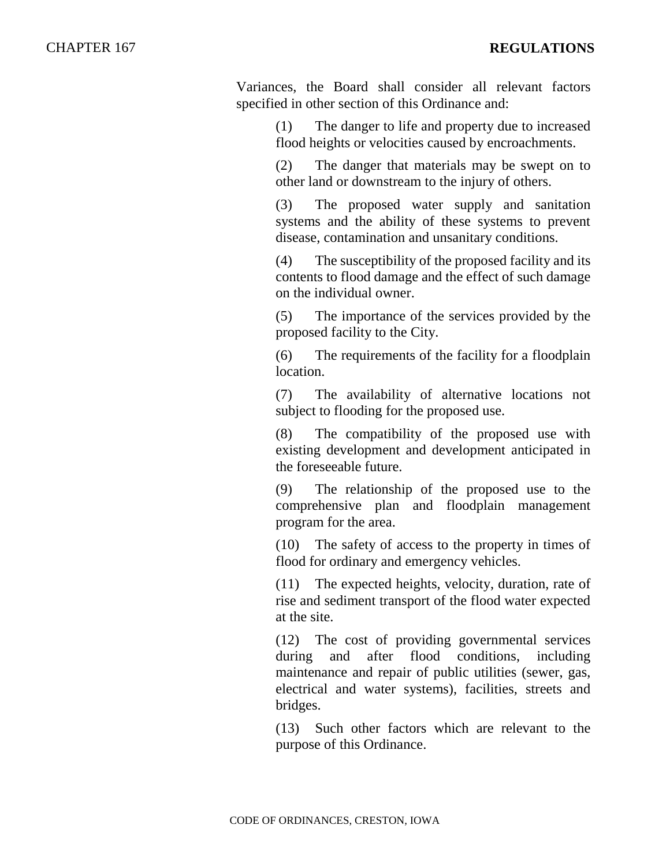Variances, the Board shall consider all relevant factors specified in other section of this Ordinance and:

> (1) The danger to life and property due to increased flood heights or velocities caused by encroachments.

> (2) The danger that materials may be swept on to other land or downstream to the injury of others.

> (3) The proposed water supply and sanitation systems and the ability of these systems to prevent disease, contamination and unsanitary conditions.

> (4) The susceptibility of the proposed facility and its contents to flood damage and the effect of such damage on the individual owner.

> (5) The importance of the services provided by the proposed facility to the City.

> (6) The requirements of the facility for a floodplain location.

> (7) The availability of alternative locations not subject to flooding for the proposed use.

> (8) The compatibility of the proposed use with existing development and development anticipated in the foreseeable future.

> (9) The relationship of the proposed use to the comprehensive plan and floodplain management program for the area.

> (10) The safety of access to the property in times of flood for ordinary and emergency vehicles.

> (11) The expected heights, velocity, duration, rate of rise and sediment transport of the flood water expected at the site.

> (12) The cost of providing governmental services during and after flood conditions, including maintenance and repair of public utilities (sewer, gas, electrical and water systems), facilities, streets and bridges.

> (13) Such other factors which are relevant to the purpose of this Ordinance.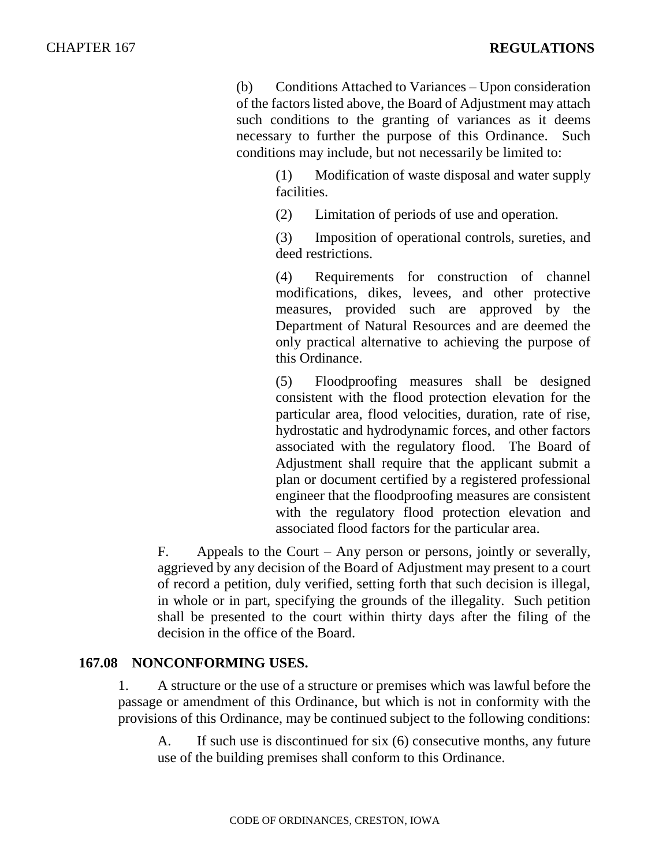(b) Conditions Attached to Variances – Upon consideration of the factors listed above, the Board of Adjustment may attach such conditions to the granting of variances as it deems necessary to further the purpose of this Ordinance. Such conditions may include, but not necessarily be limited to:

(1) Modification of waste disposal and water supply facilities.

(2) Limitation of periods of use and operation.

(3) Imposition of operational controls, sureties, and deed restrictions.

(4) Requirements for construction of channel modifications, dikes, levees, and other protective measures, provided such are approved by the Department of Natural Resources and are deemed the only practical alternative to achieving the purpose of this Ordinance.

(5) Floodproofing measures shall be designed consistent with the flood protection elevation for the particular area, flood velocities, duration, rate of rise, hydrostatic and hydrodynamic forces, and other factors associated with the regulatory flood. The Board of Adjustment shall require that the applicant submit a plan or document certified by a registered professional engineer that the floodproofing measures are consistent with the regulatory flood protection elevation and associated flood factors for the particular area.

F. Appeals to the Court – Any person or persons, jointly or severally, aggrieved by any decision of the Board of Adjustment may present to a court of record a petition, duly verified, setting forth that such decision is illegal, in whole or in part, specifying the grounds of the illegality. Such petition shall be presented to the court within thirty days after the filing of the decision in the office of the Board.

## **167.08 NONCONFORMING USES.**

1. A structure or the use of a structure or premises which was lawful before the passage or amendment of this Ordinance, but which is not in conformity with the provisions of this Ordinance, may be continued subject to the following conditions:

A. If such use is discontinued for six (6) consecutive months, any future use of the building premises shall conform to this Ordinance.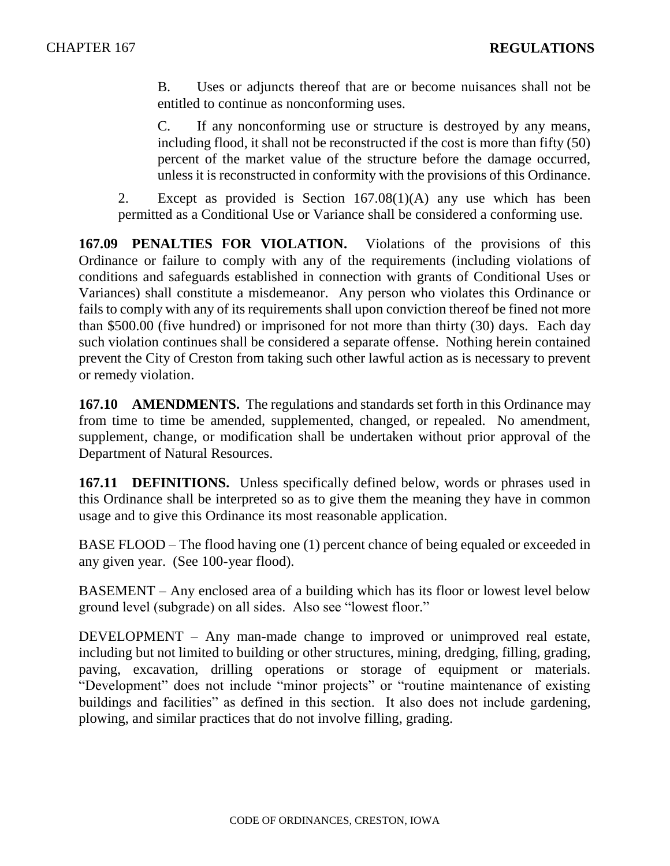B. Uses or adjuncts thereof that are or become nuisances shall not be entitled to continue as nonconforming uses.

C. If any nonconforming use or structure is destroyed by any means, including flood, it shall not be reconstructed if the cost is more than fifty (50) percent of the market value of the structure before the damage occurred, unless it is reconstructed in conformity with the provisions of this Ordinance.

2. Except as provided is Section 167.08(1)(A) any use which has been permitted as a Conditional Use or Variance shall be considered a conforming use.

**167.09 PENALTIES FOR VIOLATION.** Violations of the provisions of this Ordinance or failure to comply with any of the requirements (including violations of conditions and safeguards established in connection with grants of Conditional Uses or Variances) shall constitute a misdemeanor. Any person who violates this Ordinance or fails to comply with any of its requirements shall upon conviction thereof be fined not more than \$500.00 (five hundred) or imprisoned for not more than thirty (30) days. Each day such violation continues shall be considered a separate offense. Nothing herein contained prevent the City of Creston from taking such other lawful action as is necessary to prevent or remedy violation.

**167.10 AMENDMENTS.** The regulations and standards set forth in this Ordinance may from time to time be amended, supplemented, changed, or repealed. No amendment, supplement, change, or modification shall be undertaken without prior approval of the Department of Natural Resources.

**167.11 DEFINITIONS.** Unless specifically defined below, words or phrases used in this Ordinance shall be interpreted so as to give them the meaning they have in common usage and to give this Ordinance its most reasonable application.

BASE FLOOD – The flood having one (1) percent chance of being equaled or exceeded in any given year. (See 100-year flood).

BASEMENT – Any enclosed area of a building which has its floor or lowest level below ground level (subgrade) on all sides. Also see "lowest floor."

DEVELOPMENT – Any man-made change to improved or unimproved real estate, including but not limited to building or other structures, mining, dredging, filling, grading, paving, excavation, drilling operations or storage of equipment or materials. "Development" does not include "minor projects" or "routine maintenance of existing buildings and facilities" as defined in this section. It also does not include gardening, plowing, and similar practices that do not involve filling, grading.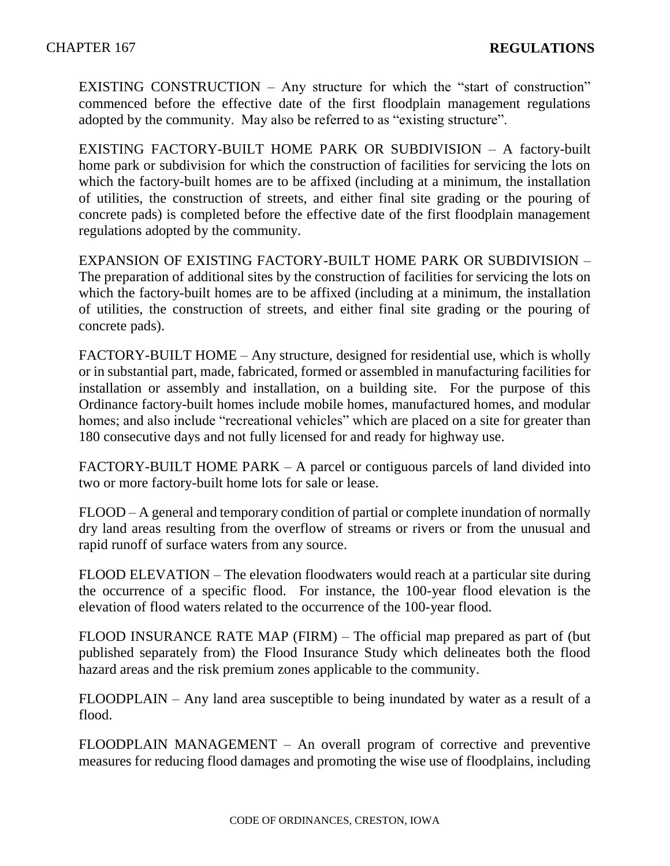EXISTING CONSTRUCTION – Any structure for which the "start of construction" commenced before the effective date of the first floodplain management regulations adopted by the community. May also be referred to as "existing structure".

EXISTING FACTORY-BUILT HOME PARK OR SUBDIVISION – A factory-built home park or subdivision for which the construction of facilities for servicing the lots on which the factory-built homes are to be affixed (including at a minimum, the installation of utilities, the construction of streets, and either final site grading or the pouring of concrete pads) is completed before the effective date of the first floodplain management regulations adopted by the community.

EXPANSION OF EXISTING FACTORY-BUILT HOME PARK OR SUBDIVISION – The preparation of additional sites by the construction of facilities for servicing the lots on which the factory-built homes are to be affixed (including at a minimum, the installation of utilities, the construction of streets, and either final site grading or the pouring of concrete pads).

FACTORY-BUILT HOME – Any structure, designed for residential use, which is wholly or in substantial part, made, fabricated, formed or assembled in manufacturing facilities for installation or assembly and installation, on a building site. For the purpose of this Ordinance factory-built homes include mobile homes, manufactured homes, and modular homes; and also include "recreational vehicles" which are placed on a site for greater than 180 consecutive days and not fully licensed for and ready for highway use.

FACTORY-BUILT HOME PARK – A parcel or contiguous parcels of land divided into two or more factory-built home lots for sale or lease.

FLOOD – A general and temporary condition of partial or complete inundation of normally dry land areas resulting from the overflow of streams or rivers or from the unusual and rapid runoff of surface waters from any source.

FLOOD ELEVATION – The elevation floodwaters would reach at a particular site during the occurrence of a specific flood. For instance, the 100-year flood elevation is the elevation of flood waters related to the occurrence of the 100-year flood.

FLOOD INSURANCE RATE MAP (FIRM) – The official map prepared as part of (but published separately from) the Flood Insurance Study which delineates both the flood hazard areas and the risk premium zones applicable to the community.

FLOODPLAIN – Any land area susceptible to being inundated by water as a result of a flood.

FLOODPLAIN MANAGEMENT – An overall program of corrective and preventive measures for reducing flood damages and promoting the wise use of floodplains, including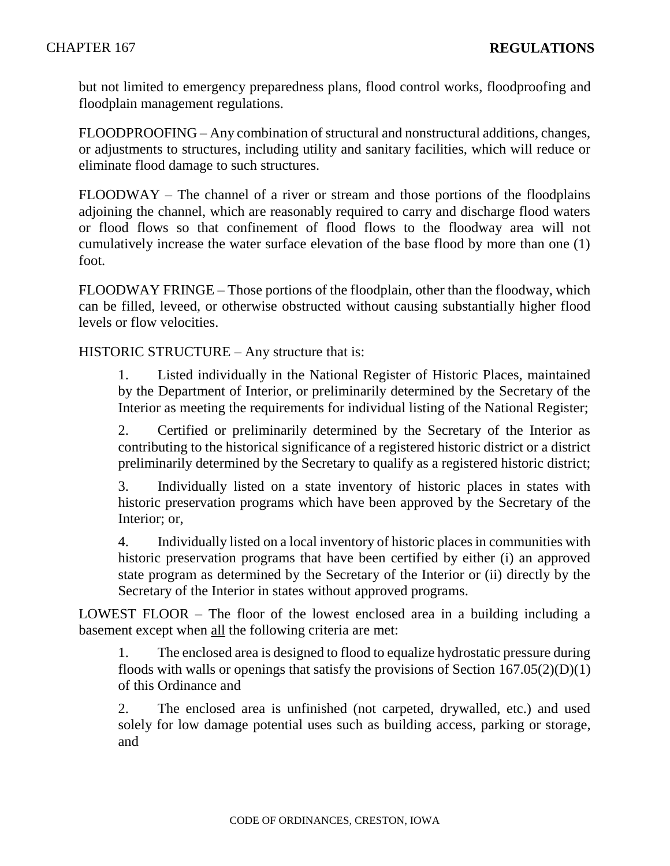but not limited to emergency preparedness plans, flood control works, floodproofing and floodplain management regulations.

FLOODPROOFING – Any combination of structural and nonstructural additions, changes, or adjustments to structures, including utility and sanitary facilities, which will reduce or eliminate flood damage to such structures.

FLOODWAY – The channel of a river or stream and those portions of the floodplains adjoining the channel, which are reasonably required to carry and discharge flood waters or flood flows so that confinement of flood flows to the floodway area will not cumulatively increase the water surface elevation of the base flood by more than one (1) foot.

FLOODWAY FRINGE – Those portions of the floodplain, other than the floodway, which can be filled, leveed, or otherwise obstructed without causing substantially higher flood levels or flow velocities.

HISTORIC STRUCTURE – Any structure that is:

1. Listed individually in the National Register of Historic Places, maintained by the Department of Interior, or preliminarily determined by the Secretary of the Interior as meeting the requirements for individual listing of the National Register;

2. Certified or preliminarily determined by the Secretary of the Interior as contributing to the historical significance of a registered historic district or a district preliminarily determined by the Secretary to qualify as a registered historic district;

3. Individually listed on a state inventory of historic places in states with historic preservation programs which have been approved by the Secretary of the Interior; or,

4. Individually listed on a local inventory of historic places in communities with historic preservation programs that have been certified by either (i) an approved state program as determined by the Secretary of the Interior or (ii) directly by the Secretary of the Interior in states without approved programs.

LOWEST FLOOR – The floor of the lowest enclosed area in a building including a basement except when all the following criteria are met:

1. The enclosed area is designed to flood to equalize hydrostatic pressure during floods with walls or openings that satisfy the provisions of Section  $167.05(2)(D)(1)$ of this Ordinance and

2. The enclosed area is unfinished (not carpeted, drywalled, etc.) and used solely for low damage potential uses such as building access, parking or storage, and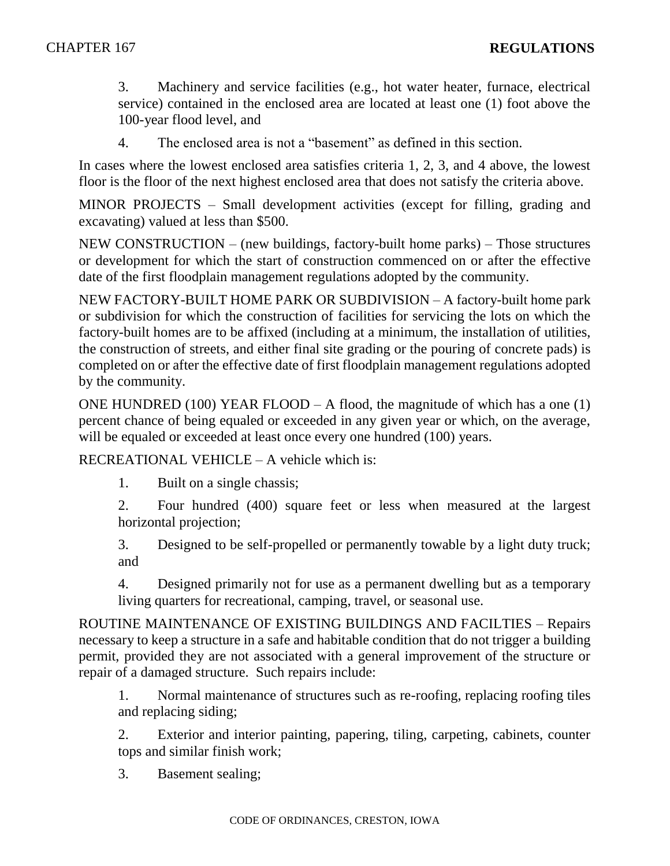3. Machinery and service facilities (e.g., hot water heater, furnace, electrical service) contained in the enclosed area are located at least one (1) foot above the 100-year flood level, and

4. The enclosed area is not a "basement" as defined in this section.

In cases where the lowest enclosed area satisfies criteria 1, 2, 3, and 4 above, the lowest floor is the floor of the next highest enclosed area that does not satisfy the criteria above.

MINOR PROJECTS – Small development activities (except for filling, grading and excavating) valued at less than \$500.

NEW CONSTRUCTION – (new buildings, factory-built home parks) – Those structures or development for which the start of construction commenced on or after the effective date of the first floodplain management regulations adopted by the community.

NEW FACTORY-BUILT HOME PARK OR SUBDIVISION – A factory-built home park or subdivision for which the construction of facilities for servicing the lots on which the factory-built homes are to be affixed (including at a minimum, the installation of utilities, the construction of streets, and either final site grading or the pouring of concrete pads) is completed on or after the effective date of first floodplain management regulations adopted by the community.

ONE HUNDRED (100) YEAR FLOOD – A flood, the magnitude of which has a one (1) percent chance of being equaled or exceeded in any given year or which, on the average, will be equaled or exceeded at least once every one hundred (100) years.

RECREATIONAL VEHICLE – A vehicle which is:

1. Built on a single chassis;

2. Four hundred (400) square feet or less when measured at the largest horizontal projection;

3. Designed to be self-propelled or permanently towable by a light duty truck; and

4. Designed primarily not for use as a permanent dwelling but as a temporary living quarters for recreational, camping, travel, or seasonal use.

ROUTINE MAINTENANCE OF EXISTING BUILDINGS AND FACILTIES – Repairs necessary to keep a structure in a safe and habitable condition that do not trigger a building permit, provided they are not associated with a general improvement of the structure or repair of a damaged structure. Such repairs include:

1. Normal maintenance of structures such as re-roofing, replacing roofing tiles and replacing siding;

2. Exterior and interior painting, papering, tiling, carpeting, cabinets, counter tops and similar finish work;

3. Basement sealing;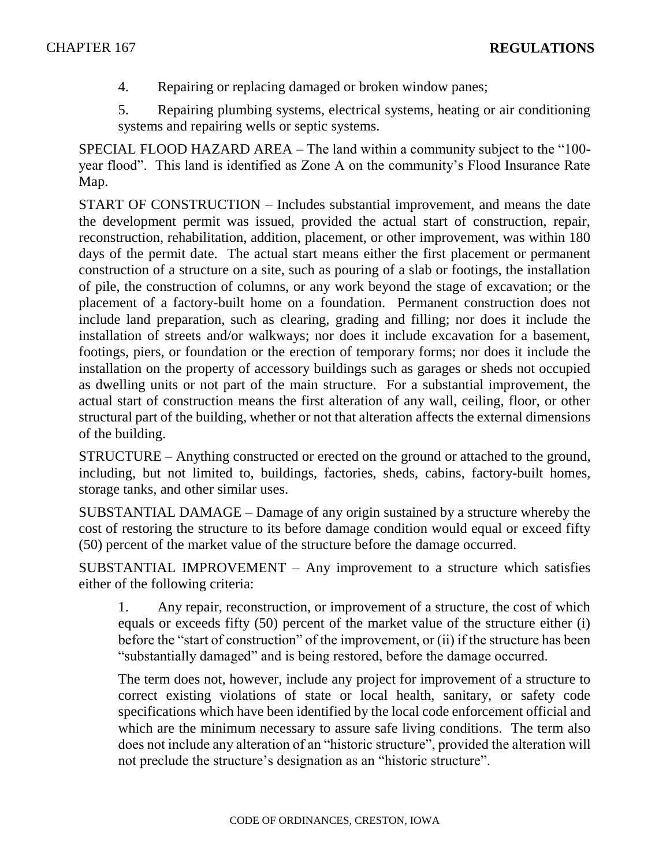4. Repairing or replacing damaged or broken window panes;

5. Repairing plumbing systems, electrical systems, heating or air conditioning systems and repairing wells or septic systems.

SPECIAL FLOOD HAZARD AREA – The land within a community subject to the "100 year flood". This land is identified as Zone A on the community's Flood Insurance Rate Map.

START OF CONSTRUCTION – Includes substantial improvement, and means the date the development permit was issued, provided the actual start of construction, repair, reconstruction, rehabilitation, addition, placement, or other improvement, was within 180 days of the permit date. The actual start means either the first placement or permanent construction of a structure on a site, such as pouring of a slab or footings, the installation of pile, the construction of columns, or any work beyond the stage of excavation; or the placement of a factory-built home on a foundation. Permanent construction does not include land preparation, such as clearing, grading and filling; nor does it include the installation of streets and/or walkways; nor does it include excavation for a basement, footings, piers, or foundation or the erection of temporary forms; nor does it include the installation on the property of accessory buildings such as garages or sheds not occupied as dwelling units or not part of the main structure. For a substantial improvement, the actual start of construction means the first alteration of any wall, ceiling, floor, or other structural part of the building, whether or not that alteration affects the external dimensions of the building.

STRUCTURE – Anything constructed or erected on the ground or attached to the ground, including, but not limited to, buildings, factories, sheds, cabins, factory-built homes, storage tanks, and other similar uses.

SUBSTANTIAL DAMAGE – Damage of any origin sustained by a structure whereby the cost of restoring the structure to its before damage condition would equal or exceed fifty (50) percent of the market value of the structure before the damage occurred.

SUBSTANTIAL IMPROVEMENT – Any improvement to a structure which satisfies either of the following criteria:

1. Any repair, reconstruction, or improvement of a structure, the cost of which equals or exceeds fifty (50) percent of the market value of the structure either (i) before the "start of construction" of the improvement, or (ii) if the structure has been "substantially damaged" and is being restored, before the damage occurred.

The term does not, however, include any project for improvement of a structure to correct existing violations of state or local health, sanitary, or safety code specifications which have been identified by the local code enforcement official and which are the minimum necessary to assure safe living conditions. The term also does not include any alteration of an "historic structure", provided the alteration will not preclude the structure's designation as an "historic structure".